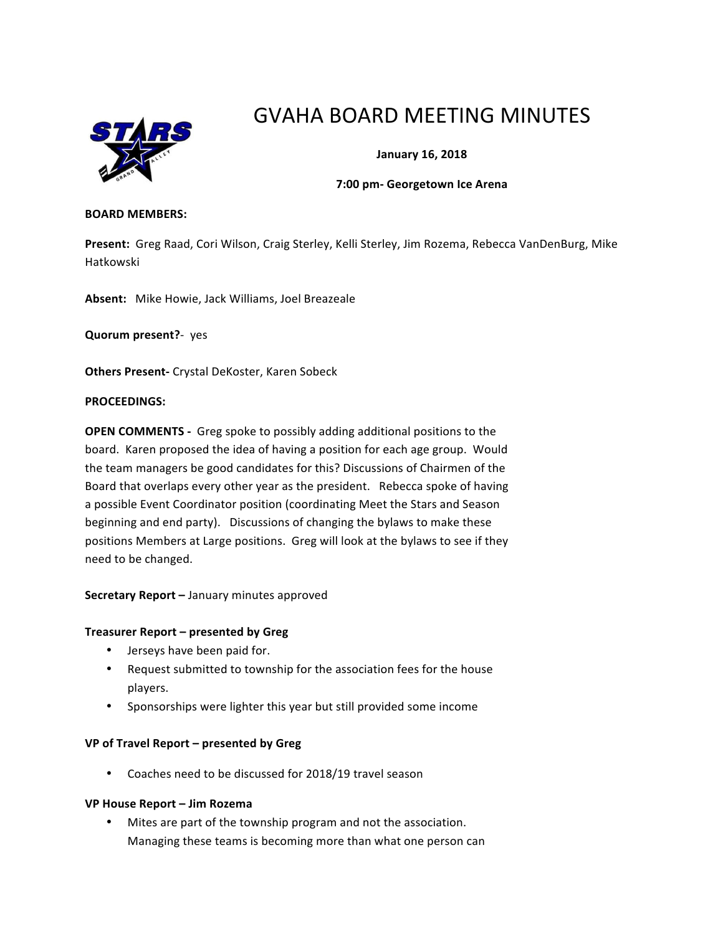

# GVAHA BOARD MEETING MINUTES

## **January 16, 2018**

### **7:00 pm- Georgetown Ice Arena**

#### **BOARD MEMBERS:**

Present: Greg Raad, Cori Wilson, Craig Sterley, Kelli Sterley, Jim Rozema, Rebecca VanDenBurg, Mike Hatkowski

Absent: Mike Howie, Jack Williams, Joel Breazeale

**Quorum present?**- yes

**Others Present-** Crystal DeKoster, Karen Sobeck

### **PROCEEDINGS:**

**OPEN COMMENTS** - Greg spoke to possibly adding additional positions to the board. Karen proposed the idea of having a position for each age group. Would the team managers be good candidates for this? Discussions of Chairmen of the Board that overlaps every other year as the president. Rebecca spoke of having a possible Event Coordinator position (coordinating Meet the Stars and Season beginning and end party). Discussions of changing the bylaws to make these positions Members at Large positions. Greg will look at the bylaws to see if they need to be changed.

**Secretary Report** – January minutes approved

### **Treasurer Report – presented by Greg**

- Jerseys have been paid for.
- Request submitted to township for the association fees for the house players.
- Sponsorships were lighter this year but still provided some income

### **VP of Travel Report – presented by Greg**

• Coaches need to be discussed for 2018/19 travel season

### **VP House Report – Jim Rozema**

• Mites are part of the township program and not the association. Managing these teams is becoming more than what one person can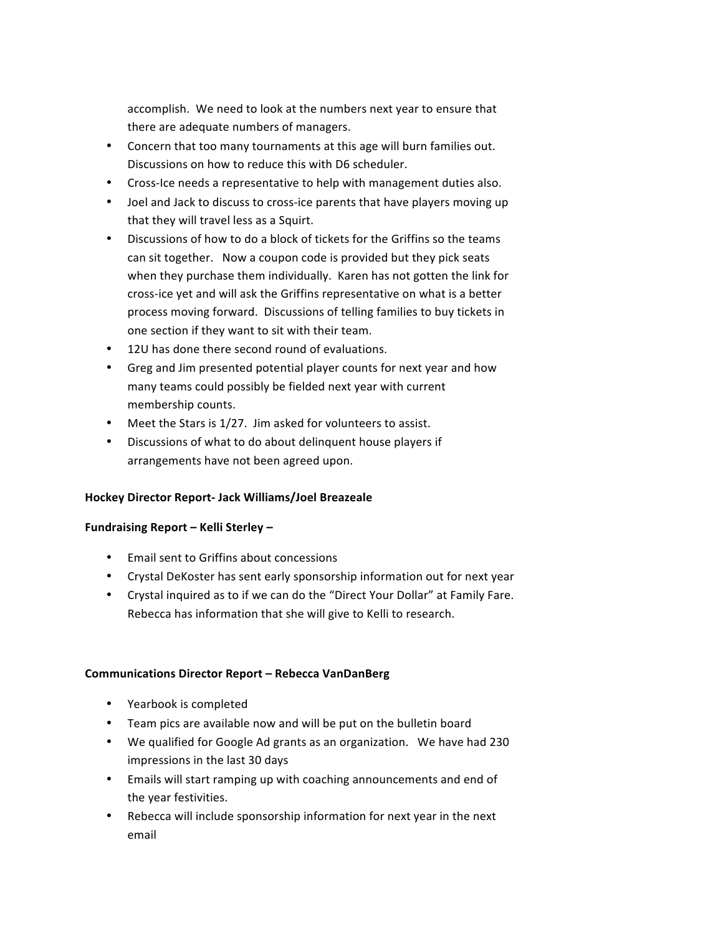accomplish. We need to look at the numbers next year to ensure that there are adequate numbers of managers.

- Concern that too many tournaments at this age will burn families out. Discussions on how to reduce this with D6 scheduler.
- Cross-Ice needs a representative to help with management duties also.
- Joel and Jack to discuss to cross-ice parents that have players moving up that they will travel less as a Squirt.
- Discussions of how to do a block of tickets for the Griffins so the teams can sit together. Now a coupon code is provided but they pick seats when they purchase them individually. Karen has not gotten the link for cross-ice yet and will ask the Griffins representative on what is a better process moving forward. Discussions of telling families to buy tickets in one section if they want to sit with their team.
- 12U has done there second round of evaluations.
- Greg and Jim presented potential player counts for next year and how many teams could possibly be fielded next year with current membership counts.
- Meet the Stars is 1/27. Jim asked for volunteers to assist.
- Discussions of what to do about delinquent house players if arrangements have not been agreed upon.

## **Hockey Director Report- Jack Williams/Joel Breazeale**

### **Fundraising Report – Kelli Sterley –**

- Email sent to Griffins about concessions
- Crystal DeKoster has sent early sponsorship information out for next year
- Crystal inquired as to if we can do the "Direct Your Dollar" at Family Fare. Rebecca has information that she will give to Kelli to research.

## **Communications Director Report – Rebecca VanDanBerg**

- Yearbook is completed
- Team pics are available now and will be put on the bulletin board
- We qualified for Google Ad grants as an organization. We have had 230 impressions in the last 30 days
- Emails will start ramping up with coaching announcements and end of the year festivities.
- Rebecca will include sponsorship information for next year in the next email